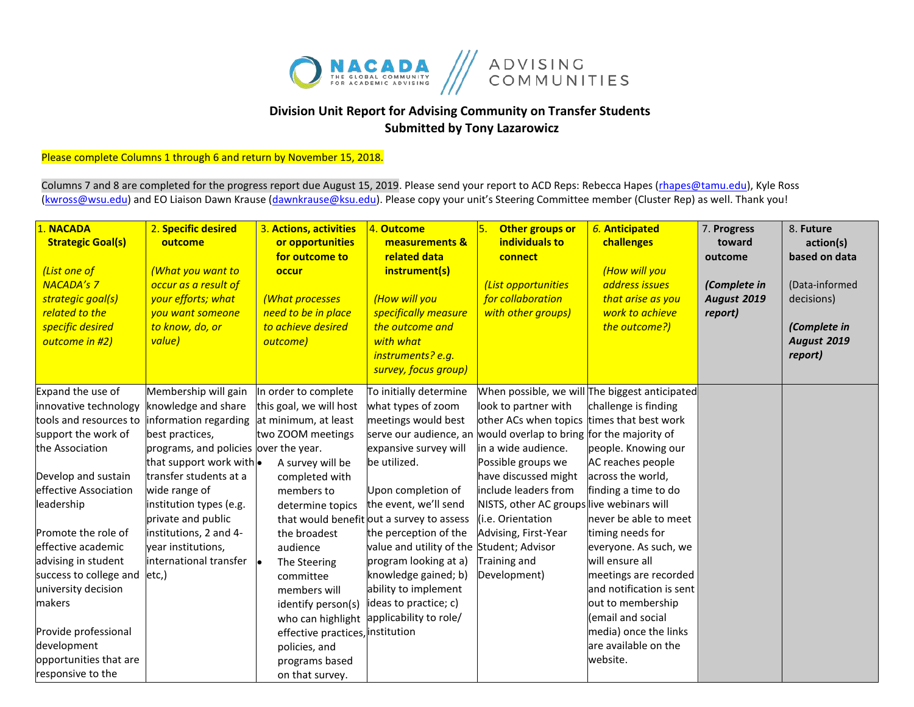

## **Division Unit Report for Advising Community on Transfer Students Submitted by Tony Lazarowicz**

## Please complete Columns 1 through 6 and return by November 15, 2018.

Columns 7 and 8 are completed for the progress report due August 15, 2019. Please send your report to ACD Reps: Rebecca Hapes (rhapes@tamu.edu), Kyle Ross [\(kwross@wsu.edu\)](mailto:kwross@wsu.edu) and EO Liaison Dawn Krause (dawnkrause@ksu.edu). Please copy your unit's Steering Committee member (Cluster Rep) as well. Thank you!

| 1. NACADA<br><b>Strategic Goal(s)</b><br>(List one of<br><b>NACADA's 7</b><br>strategic goal(s)<br>related to the<br>specific desired<br>outcome in #2) | 2. Specific desired<br>outcome<br>(What you want to<br>occur as a result of<br>your efforts; what<br>you want someone<br>to know, do, or<br>value) | 3. Actions, activities<br>or opportunities<br>for outcome to<br>occur<br>(What processes<br>need to be in place<br>to achieve desired<br>outcome) | 4. Outcome<br>measurements &<br>related data<br>instrument(s)<br>(How will you<br>specifically measure<br>the outcome and<br>with what<br>instruments? e.g.<br>survey, focus group) | 5.<br>Other groups or<br>individuals to<br>connect<br>(List opportunities<br>for collaboration<br>with other groups) | 6. Anticipated<br>challenges<br>(How will you<br>address issues<br>that arise as you<br>work to achieve<br>the outcome?) | 7. Progress<br>toward<br>outcome<br>(Complete in<br><b>August 2019</b><br>report) | 8. Future<br>action(s)<br>based on data<br>(Data-informed<br>decisions)<br>(Complete in<br><b>August 2019</b><br>report) |
|---------------------------------------------------------------------------------------------------------------------------------------------------------|----------------------------------------------------------------------------------------------------------------------------------------------------|---------------------------------------------------------------------------------------------------------------------------------------------------|-------------------------------------------------------------------------------------------------------------------------------------------------------------------------------------|----------------------------------------------------------------------------------------------------------------------|--------------------------------------------------------------------------------------------------------------------------|-----------------------------------------------------------------------------------|--------------------------------------------------------------------------------------------------------------------------|
| Expand the use of                                                                                                                                       | Membership will gain                                                                                                                               | In order to complete                                                                                                                              | To initially determine                                                                                                                                                              |                                                                                                                      | When possible, we will The biggest anticipated                                                                           |                                                                                   |                                                                                                                          |
| innovative technology                                                                                                                                   | knowledge and share                                                                                                                                | this goal, we will host                                                                                                                           | what types of zoom                                                                                                                                                                  | look to partner with                                                                                                 | challenge is finding                                                                                                     |                                                                                   |                                                                                                                          |
| tools and resources to                                                                                                                                  | nformation regarding                                                                                                                               | at minimum, at least                                                                                                                              | meetings would best                                                                                                                                                                 | other ACs when topics times that best work                                                                           |                                                                                                                          |                                                                                   |                                                                                                                          |
| support the work of                                                                                                                                     | best practices,                                                                                                                                    | two ZOOM meetings                                                                                                                                 | serve our audience, an would overlap to bring for the majority of                                                                                                                   |                                                                                                                      |                                                                                                                          |                                                                                   |                                                                                                                          |
| the Association                                                                                                                                         | programs, and policies over the year.                                                                                                              |                                                                                                                                                   | expansive survey will                                                                                                                                                               | in a wide audience.                                                                                                  | people. Knowing our                                                                                                      |                                                                                   |                                                                                                                          |
|                                                                                                                                                         | that support work with .                                                                                                                           | A survey will be                                                                                                                                  | be utilized.                                                                                                                                                                        | Possible groups we                                                                                                   | AC reaches people                                                                                                        |                                                                                   |                                                                                                                          |
| Develop and sustain                                                                                                                                     | transfer students at a                                                                                                                             | completed with                                                                                                                                    |                                                                                                                                                                                     | have discussed might                                                                                                 | across the world,                                                                                                        |                                                                                   |                                                                                                                          |
| effective Association                                                                                                                                   | wide range of                                                                                                                                      | members to                                                                                                                                        | Upon completion of                                                                                                                                                                  | include leaders from                                                                                                 | finding a time to do                                                                                                     |                                                                                   |                                                                                                                          |
| leadership                                                                                                                                              | institution types (e.g.                                                                                                                            | determine topics                                                                                                                                  | the event, we'll send                                                                                                                                                               | NISTS, other AC groups live webinars will                                                                            |                                                                                                                          |                                                                                   |                                                                                                                          |
|                                                                                                                                                         | private and public                                                                                                                                 |                                                                                                                                                   | that would benefit out a survey to assess                                                                                                                                           | i.e. Orientation                                                                                                     | never be able to meet                                                                                                    |                                                                                   |                                                                                                                          |
| Promote the role of                                                                                                                                     | institutions, 2 and 4-                                                                                                                             | the broadest                                                                                                                                      | the perception of the                                                                                                                                                               | Advising, First-Year                                                                                                 | timing needs for                                                                                                         |                                                                                   |                                                                                                                          |
| effective academic                                                                                                                                      | year institutions,                                                                                                                                 | audience                                                                                                                                          | value and utility of the Student; Advisor                                                                                                                                           |                                                                                                                      | everyone. As such, we                                                                                                    |                                                                                   |                                                                                                                          |
| advising in student                                                                                                                                     | international transfer                                                                                                                             | The Steering                                                                                                                                      | program looking at a)                                                                                                                                                               | Training and                                                                                                         | will ensure all                                                                                                          |                                                                                   |                                                                                                                          |
| success to college and                                                                                                                                  | etc,)                                                                                                                                              | committee                                                                                                                                         | knowledge gained; b)                                                                                                                                                                | Development)                                                                                                         | meetings are recorded                                                                                                    |                                                                                   |                                                                                                                          |
| university decision                                                                                                                                     |                                                                                                                                                    | members will                                                                                                                                      | ability to implement                                                                                                                                                                |                                                                                                                      | and notification is sent                                                                                                 |                                                                                   |                                                                                                                          |
| makers                                                                                                                                                  |                                                                                                                                                    | identify person(s)                                                                                                                                | ideas to practice; c)                                                                                                                                                               |                                                                                                                      | out to membership                                                                                                        |                                                                                   |                                                                                                                          |
|                                                                                                                                                         |                                                                                                                                                    | who can highlight                                                                                                                                 | applicability to role/                                                                                                                                                              |                                                                                                                      | (email and social                                                                                                        |                                                                                   |                                                                                                                          |
| Provide professional                                                                                                                                    |                                                                                                                                                    | effective practices, institution                                                                                                                  |                                                                                                                                                                                     |                                                                                                                      | media) once the links                                                                                                    |                                                                                   |                                                                                                                          |
| development                                                                                                                                             |                                                                                                                                                    | policies, and                                                                                                                                     |                                                                                                                                                                                     |                                                                                                                      | are available on the                                                                                                     |                                                                                   |                                                                                                                          |
| opportunities that are                                                                                                                                  |                                                                                                                                                    | programs based                                                                                                                                    |                                                                                                                                                                                     |                                                                                                                      | website.                                                                                                                 |                                                                                   |                                                                                                                          |
| responsive to the                                                                                                                                       |                                                                                                                                                    | on that survey.                                                                                                                                   |                                                                                                                                                                                     |                                                                                                                      |                                                                                                                          |                                                                                   |                                                                                                                          |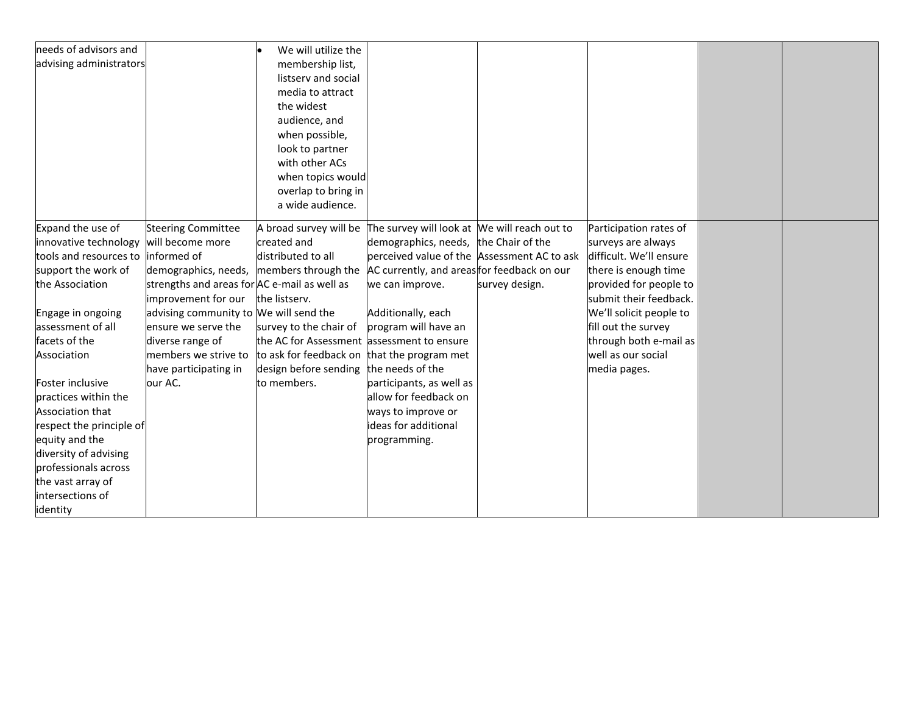| advising administrators<br>membership list,<br>listserv and social<br>media to attract<br>the widest<br>audience, and<br>when possible,<br>look to partner<br>with other ACs<br>when topics would<br>overlap to bring in<br>a wide audience.<br>Expand the use of<br>The survey will look at We will reach out to<br><b>Steering Committee</b><br>A broad survey will be<br>Participation rates of<br>innovative technology<br>will become more<br>created and<br>demographics, needs, the Chair of the<br>surveys are always<br>distributed to all<br>perceived value of the Assessment AC to ask<br>difficult. We'll ensure<br>tools and resources to<br>informed of<br>AC currently, and areas for feedback on our<br>support the work of<br>demographics, needs, members through the<br>there is enough time<br>the Association<br>strengths and areas for AC e-mail as well as<br>provided for people to<br>we can improve.<br>survey design.<br>improvement for our<br>submit their feedback.<br>the listserv.<br>advising community to We will send the<br>Additionally, each<br>We'll solicit people to<br>Engage in ongoing<br>assessment of all<br>ensure we serve the<br>program will have an<br>fill out the survey<br>survey to the chair of<br>through both e-mail as<br>facets of the<br>diverse range of<br>the AC for Assessment assessment to ensure<br>members we strive to<br>to ask for feedback on that the program met<br>well as our social<br>Association<br>design before sending<br>the needs of the<br>have participating in<br>media pages.<br>our AC.<br>to members.<br>participants, as well as<br>Foster inclusive<br>practices within the<br>allow for feedback on<br>Association that<br>ways to improve or<br>ideas for additional<br>respect the principle of<br>equity and the<br>programming.<br>diversity of advising<br>professionals across<br>the vast array of<br>intersections of<br>identity | needs of advisors and | We will utilize the |  |  |  |
|-------------------------------------------------------------------------------------------------------------------------------------------------------------------------------------------------------------------------------------------------------------------------------------------------------------------------------------------------------------------------------------------------------------------------------------------------------------------------------------------------------------------------------------------------------------------------------------------------------------------------------------------------------------------------------------------------------------------------------------------------------------------------------------------------------------------------------------------------------------------------------------------------------------------------------------------------------------------------------------------------------------------------------------------------------------------------------------------------------------------------------------------------------------------------------------------------------------------------------------------------------------------------------------------------------------------------------------------------------------------------------------------------------------------------------------------------------------------------------------------------------------------------------------------------------------------------------------------------------------------------------------------------------------------------------------------------------------------------------------------------------------------------------------------------------------------------------------------------------------------------------------------------------------------------------------------|-----------------------|---------------------|--|--|--|
|                                                                                                                                                                                                                                                                                                                                                                                                                                                                                                                                                                                                                                                                                                                                                                                                                                                                                                                                                                                                                                                                                                                                                                                                                                                                                                                                                                                                                                                                                                                                                                                                                                                                                                                                                                                                                                                                                                                                           |                       |                     |  |  |  |
|                                                                                                                                                                                                                                                                                                                                                                                                                                                                                                                                                                                                                                                                                                                                                                                                                                                                                                                                                                                                                                                                                                                                                                                                                                                                                                                                                                                                                                                                                                                                                                                                                                                                                                                                                                                                                                                                                                                                           |                       |                     |  |  |  |
|                                                                                                                                                                                                                                                                                                                                                                                                                                                                                                                                                                                                                                                                                                                                                                                                                                                                                                                                                                                                                                                                                                                                                                                                                                                                                                                                                                                                                                                                                                                                                                                                                                                                                                                                                                                                                                                                                                                                           |                       |                     |  |  |  |
|                                                                                                                                                                                                                                                                                                                                                                                                                                                                                                                                                                                                                                                                                                                                                                                                                                                                                                                                                                                                                                                                                                                                                                                                                                                                                                                                                                                                                                                                                                                                                                                                                                                                                                                                                                                                                                                                                                                                           |                       |                     |  |  |  |
|                                                                                                                                                                                                                                                                                                                                                                                                                                                                                                                                                                                                                                                                                                                                                                                                                                                                                                                                                                                                                                                                                                                                                                                                                                                                                                                                                                                                                                                                                                                                                                                                                                                                                                                                                                                                                                                                                                                                           |                       |                     |  |  |  |
|                                                                                                                                                                                                                                                                                                                                                                                                                                                                                                                                                                                                                                                                                                                                                                                                                                                                                                                                                                                                                                                                                                                                                                                                                                                                                                                                                                                                                                                                                                                                                                                                                                                                                                                                                                                                                                                                                                                                           |                       |                     |  |  |  |
|                                                                                                                                                                                                                                                                                                                                                                                                                                                                                                                                                                                                                                                                                                                                                                                                                                                                                                                                                                                                                                                                                                                                                                                                                                                                                                                                                                                                                                                                                                                                                                                                                                                                                                                                                                                                                                                                                                                                           |                       |                     |  |  |  |
|                                                                                                                                                                                                                                                                                                                                                                                                                                                                                                                                                                                                                                                                                                                                                                                                                                                                                                                                                                                                                                                                                                                                                                                                                                                                                                                                                                                                                                                                                                                                                                                                                                                                                                                                                                                                                                                                                                                                           |                       |                     |  |  |  |
|                                                                                                                                                                                                                                                                                                                                                                                                                                                                                                                                                                                                                                                                                                                                                                                                                                                                                                                                                                                                                                                                                                                                                                                                                                                                                                                                                                                                                                                                                                                                                                                                                                                                                                                                                                                                                                                                                                                                           |                       |                     |  |  |  |
|                                                                                                                                                                                                                                                                                                                                                                                                                                                                                                                                                                                                                                                                                                                                                                                                                                                                                                                                                                                                                                                                                                                                                                                                                                                                                                                                                                                                                                                                                                                                                                                                                                                                                                                                                                                                                                                                                                                                           |                       |                     |  |  |  |
|                                                                                                                                                                                                                                                                                                                                                                                                                                                                                                                                                                                                                                                                                                                                                                                                                                                                                                                                                                                                                                                                                                                                                                                                                                                                                                                                                                                                                                                                                                                                                                                                                                                                                                                                                                                                                                                                                                                                           |                       |                     |  |  |  |
|                                                                                                                                                                                                                                                                                                                                                                                                                                                                                                                                                                                                                                                                                                                                                                                                                                                                                                                                                                                                                                                                                                                                                                                                                                                                                                                                                                                                                                                                                                                                                                                                                                                                                                                                                                                                                                                                                                                                           |                       |                     |  |  |  |
|                                                                                                                                                                                                                                                                                                                                                                                                                                                                                                                                                                                                                                                                                                                                                                                                                                                                                                                                                                                                                                                                                                                                                                                                                                                                                                                                                                                                                                                                                                                                                                                                                                                                                                                                                                                                                                                                                                                                           |                       |                     |  |  |  |
|                                                                                                                                                                                                                                                                                                                                                                                                                                                                                                                                                                                                                                                                                                                                                                                                                                                                                                                                                                                                                                                                                                                                                                                                                                                                                                                                                                                                                                                                                                                                                                                                                                                                                                                                                                                                                                                                                                                                           |                       |                     |  |  |  |
|                                                                                                                                                                                                                                                                                                                                                                                                                                                                                                                                                                                                                                                                                                                                                                                                                                                                                                                                                                                                                                                                                                                                                                                                                                                                                                                                                                                                                                                                                                                                                                                                                                                                                                                                                                                                                                                                                                                                           |                       |                     |  |  |  |
|                                                                                                                                                                                                                                                                                                                                                                                                                                                                                                                                                                                                                                                                                                                                                                                                                                                                                                                                                                                                                                                                                                                                                                                                                                                                                                                                                                                                                                                                                                                                                                                                                                                                                                                                                                                                                                                                                                                                           |                       |                     |  |  |  |
|                                                                                                                                                                                                                                                                                                                                                                                                                                                                                                                                                                                                                                                                                                                                                                                                                                                                                                                                                                                                                                                                                                                                                                                                                                                                                                                                                                                                                                                                                                                                                                                                                                                                                                                                                                                                                                                                                                                                           |                       |                     |  |  |  |
|                                                                                                                                                                                                                                                                                                                                                                                                                                                                                                                                                                                                                                                                                                                                                                                                                                                                                                                                                                                                                                                                                                                                                                                                                                                                                                                                                                                                                                                                                                                                                                                                                                                                                                                                                                                                                                                                                                                                           |                       |                     |  |  |  |
|                                                                                                                                                                                                                                                                                                                                                                                                                                                                                                                                                                                                                                                                                                                                                                                                                                                                                                                                                                                                                                                                                                                                                                                                                                                                                                                                                                                                                                                                                                                                                                                                                                                                                                                                                                                                                                                                                                                                           |                       |                     |  |  |  |
|                                                                                                                                                                                                                                                                                                                                                                                                                                                                                                                                                                                                                                                                                                                                                                                                                                                                                                                                                                                                                                                                                                                                                                                                                                                                                                                                                                                                                                                                                                                                                                                                                                                                                                                                                                                                                                                                                                                                           |                       |                     |  |  |  |
|                                                                                                                                                                                                                                                                                                                                                                                                                                                                                                                                                                                                                                                                                                                                                                                                                                                                                                                                                                                                                                                                                                                                                                                                                                                                                                                                                                                                                                                                                                                                                                                                                                                                                                                                                                                                                                                                                                                                           |                       |                     |  |  |  |
|                                                                                                                                                                                                                                                                                                                                                                                                                                                                                                                                                                                                                                                                                                                                                                                                                                                                                                                                                                                                                                                                                                                                                                                                                                                                                                                                                                                                                                                                                                                                                                                                                                                                                                                                                                                                                                                                                                                                           |                       |                     |  |  |  |
|                                                                                                                                                                                                                                                                                                                                                                                                                                                                                                                                                                                                                                                                                                                                                                                                                                                                                                                                                                                                                                                                                                                                                                                                                                                                                                                                                                                                                                                                                                                                                                                                                                                                                                                                                                                                                                                                                                                                           |                       |                     |  |  |  |
|                                                                                                                                                                                                                                                                                                                                                                                                                                                                                                                                                                                                                                                                                                                                                                                                                                                                                                                                                                                                                                                                                                                                                                                                                                                                                                                                                                                                                                                                                                                                                                                                                                                                                                                                                                                                                                                                                                                                           |                       |                     |  |  |  |
|                                                                                                                                                                                                                                                                                                                                                                                                                                                                                                                                                                                                                                                                                                                                                                                                                                                                                                                                                                                                                                                                                                                                                                                                                                                                                                                                                                                                                                                                                                                                                                                                                                                                                                                                                                                                                                                                                                                                           |                       |                     |  |  |  |
|                                                                                                                                                                                                                                                                                                                                                                                                                                                                                                                                                                                                                                                                                                                                                                                                                                                                                                                                                                                                                                                                                                                                                                                                                                                                                                                                                                                                                                                                                                                                                                                                                                                                                                                                                                                                                                                                                                                                           |                       |                     |  |  |  |
|                                                                                                                                                                                                                                                                                                                                                                                                                                                                                                                                                                                                                                                                                                                                                                                                                                                                                                                                                                                                                                                                                                                                                                                                                                                                                                                                                                                                                                                                                                                                                                                                                                                                                                                                                                                                                                                                                                                                           |                       |                     |  |  |  |
|                                                                                                                                                                                                                                                                                                                                                                                                                                                                                                                                                                                                                                                                                                                                                                                                                                                                                                                                                                                                                                                                                                                                                                                                                                                                                                                                                                                                                                                                                                                                                                                                                                                                                                                                                                                                                                                                                                                                           |                       |                     |  |  |  |
|                                                                                                                                                                                                                                                                                                                                                                                                                                                                                                                                                                                                                                                                                                                                                                                                                                                                                                                                                                                                                                                                                                                                                                                                                                                                                                                                                                                                                                                                                                                                                                                                                                                                                                                                                                                                                                                                                                                                           |                       |                     |  |  |  |
|                                                                                                                                                                                                                                                                                                                                                                                                                                                                                                                                                                                                                                                                                                                                                                                                                                                                                                                                                                                                                                                                                                                                                                                                                                                                                                                                                                                                                                                                                                                                                                                                                                                                                                                                                                                                                                                                                                                                           |                       |                     |  |  |  |
|                                                                                                                                                                                                                                                                                                                                                                                                                                                                                                                                                                                                                                                                                                                                                                                                                                                                                                                                                                                                                                                                                                                                                                                                                                                                                                                                                                                                                                                                                                                                                                                                                                                                                                                                                                                                                                                                                                                                           |                       |                     |  |  |  |
|                                                                                                                                                                                                                                                                                                                                                                                                                                                                                                                                                                                                                                                                                                                                                                                                                                                                                                                                                                                                                                                                                                                                                                                                                                                                                                                                                                                                                                                                                                                                                                                                                                                                                                                                                                                                                                                                                                                                           |                       |                     |  |  |  |